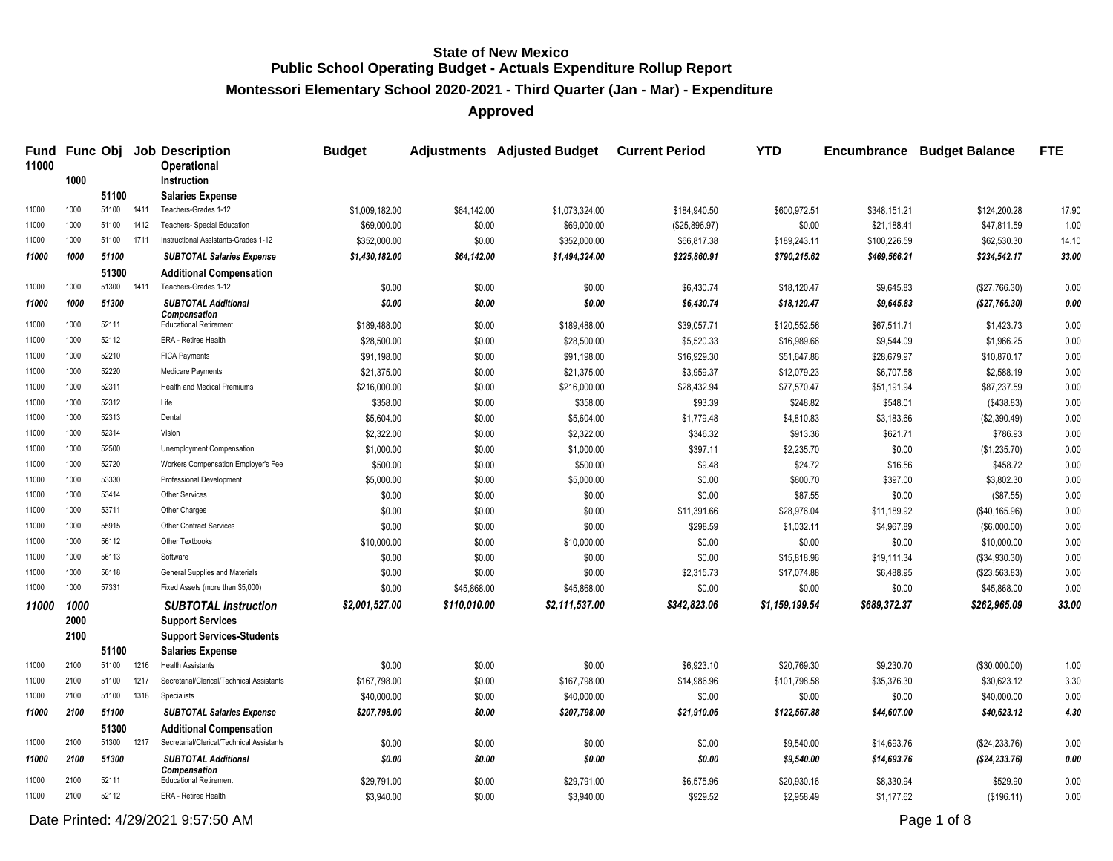**Montessori Elementary School 2020-2021 - Third Quarter (Jan - Mar) - Expenditure**

**Approved**

| Fund<br>11000 |      |                |      | <b>Func Obj Job Description</b><br><b>Operational</b>  | <b>Budget</b>               |                       | <b>Adjustments</b> Adjusted Budget | <b>Current Period</b> | <b>YTD</b>     | Encumbrance  | <b>Budget Balance</b> | <b>FTE</b> |
|---------------|------|----------------|------|--------------------------------------------------------|-----------------------------|-----------------------|------------------------------------|-----------------------|----------------|--------------|-----------------------|------------|
|               | 1000 |                |      | Instruction                                            |                             |                       |                                    |                       |                |              |                       |            |
| 11000         | 1000 | 51100<br>51100 | 1411 | <b>Salaries Expense</b><br>Teachers-Grades 1-12        |                             |                       |                                    |                       | \$600.972.51   |              |                       | 17.90      |
| 11000         | 1000 | 51100          | 1412 | <b>Teachers- Special Education</b>                     | \$1,009,182.00              | \$64,142.00<br>\$0.00 | \$1,073,324.00<br>\$69,000.00      | \$184,940.50          |                | \$348,151.21 | \$124,200.28          | 1.00       |
| 11000         | 1000 | 51100          | 1711 | Instructional Assistants-Grades 1-12                   | \$69,000.00<br>\$352,000.00 | \$0.00                |                                    | (\$25,896.97)         | \$0.00         | \$21,188.41  | \$47,811.59           | 14.10      |
| 11000         | 1000 | 51100          |      |                                                        |                             |                       | \$352,000.00                       | \$66,817.38           | \$189,243.11   | \$100,226.59 | \$62,530.30           | 33.00      |
|               |      |                |      | <b>SUBTOTAL Salaries Expense</b>                       | \$1,430,182.00              | \$64,142.00           | \$1,494,324.00                     | \$225,860.91          | \$790,215.62   | \$469,566.21 | \$234,542.17          |            |
| 11000         | 1000 | 51300<br>51300 | 1411 | <b>Additional Compensation</b><br>Teachers-Grades 1-12 | \$0.00                      | \$0.00                | \$0.00                             | \$6,430.74            |                |              |                       | 0.00       |
|               |      |                |      |                                                        |                             |                       |                                    |                       | \$18,120.47    | \$9,645.83   | (\$27,766.30)         |            |
| 11000         | 1000 | 51300          |      | <b>SUBTOTAL Additional</b><br><b>Compensation</b>      | \$0.00                      | \$0.00                | \$0.00                             | \$6,430.74            | \$18,120.47    | \$9,645.83   | (\$27,766.30)         | 0.00       |
| 11000         | 1000 | 52111          |      | <b>Educational Retirement</b>                          | \$189,488.00                | \$0.00                | \$189,488.00                       | \$39,057.71           | \$120,552.56   | \$67,511.71  | \$1,423.73            | 0.00       |
| 11000         | 1000 | 52112          |      | ERA - Retiree Health                                   | \$28,500.00                 | \$0.00                | \$28,500.00                        | \$5,520.33            | \$16,989.66    | \$9,544.09   | \$1,966.25            | 0.00       |
| 11000         | 1000 | 52210          |      | <b>FICA Payments</b>                                   | \$91,198.00                 | \$0.00                | \$91,198.00                        | \$16,929.30           | \$51,647.86    | \$28,679.97  | \$10,870.17           | 0.00       |
| 11000         | 1000 | 52220          |      | Medicare Payments                                      | \$21,375.00                 | \$0.00                | \$21,375.00                        | \$3,959.37            | \$12,079.23    | \$6,707.58   | \$2,588.19            | 0.00       |
| 11000         | 1000 | 52311          |      | Health and Medical Premiums                            | \$216,000.00                | \$0.00                | \$216,000.00                       | \$28,432.94           | \$77,570.47    | \$51,191.94  | \$87,237.59           | 0.00       |
| 11000         | 1000 | 52312          |      | Life                                                   | \$358.00                    | \$0.00                | \$358.00                           | \$93.39               | \$248.82       | \$548.01     | (\$438.83)            | 0.00       |
| 11000         | 1000 | 52313          |      | Dental                                                 | \$5,604.00                  | \$0.00                | \$5,604.00                         | \$1,779.48            | \$4,810.83     | \$3,183.66   | (\$2,390.49)          | 0.00       |
| 11000         | 1000 | 52314          |      | Vision                                                 | \$2,322.00                  | \$0.00                | \$2,322.00                         | \$346.32              | \$913.36       | \$621.71     | \$786.93              | 0.00       |
| 11000         | 1000 | 52500          |      | Unemployment Compensation                              | \$1,000.00                  | \$0.00                | \$1,000.00                         | \$397.11              | \$2,235.70     | \$0.00       | (\$1,235.70)          | 0.00       |
| 11000         | 1000 | 52720          |      | Workers Compensation Employer's Fee                    | \$500.00                    | \$0.00                | \$500.00                           | \$9.48                | \$24.72        | \$16.56      | \$458.72              | 0.00       |
| 11000         | 1000 | 53330          |      | Professional Development                               | \$5,000.00                  | \$0.00                | \$5,000.00                         | \$0.00                | \$800.70       | \$397.00     | \$3,802.30            | 0.00       |
| 11000         | 1000 | 53414          |      | Other Services                                         | \$0.00                      | \$0.00                | \$0.00                             | \$0.00                | \$87.55        | \$0.00       | (\$87.55)             | 0.00       |
| 11000         | 1000 | 53711          |      | Other Charges                                          | \$0.00                      | \$0.00                | \$0.00                             | \$11,391.66           | \$28,976.04    | \$11,189.92  | (\$40,165.96)         | 0.00       |
| 11000         | 1000 | 55915          |      | Other Contract Services                                | \$0.00                      | \$0.00                | \$0.00                             | \$298.59              | \$1,032.11     | \$4,967.89   | (\$6,000.00)          | 0.00       |
| 11000         | 1000 | 56112          |      | Other Textbooks                                        | \$10,000.00                 | \$0.00                | \$10,000.00                        | \$0.00                | \$0.00         | \$0.00       | \$10,000.00           | 0.00       |
| 11000         | 1000 | 56113          |      | Software                                               | \$0.00                      | \$0.00                | \$0.00                             | \$0.00                | \$15,818.96    | \$19,111.34  | (\$34,930.30)         | 0.00       |
| 11000         | 1000 | 56118          |      | General Supplies and Materials                         | \$0.00                      | \$0.00                | \$0.00                             | \$2,315.73            | \$17,074.88    | \$6,488.95   | (\$23,563.83)         | 0.00       |
| 11000         | 1000 | 57331          |      | Fixed Assets (more than \$5,000)                       | \$0.00                      | \$45,868.00           | \$45,868.00                        | \$0.00                | \$0.00         | \$0.00       | \$45,868.00           | 0.00       |
| 11000         | 1000 |                |      | <b>SUBTOTAL Instruction</b>                            | \$2,001,527.00              | \$110,010.00          | \$2,111,537.00                     | \$342,823.06          | \$1,159,199.54 | \$689,372.37 | \$262,965.09          | 33.00      |
|               | 2000 |                |      | <b>Support Services</b>                                |                             |                       |                                    |                       |                |              |                       |            |
|               | 2100 |                |      | <b>Support Services-Students</b>                       |                             |                       |                                    |                       |                |              |                       |            |
|               |      | 51100          |      | <b>Salaries Expense</b>                                |                             |                       |                                    |                       |                |              |                       |            |
| 11000         | 2100 | 51100          | 1216 | <b>Health Assistants</b>                               | \$0.00                      | \$0.00                | \$0.00                             | \$6,923.10            | \$20,769.30    | \$9,230.70   | (\$30,000.00)         | 1.00       |
| 11000         | 2100 | 51100          | 1217 | Secretarial/Clerical/Technical Assistants              | \$167,798.00                | \$0.00                | \$167,798.00                       | \$14,986.96           | \$101,798.58   | \$35,376.30  | \$30,623.12           | 3.30       |
| 11000         | 2100 | 51100          | 1318 | Specialists                                            | \$40,000.00                 | \$0.00                | \$40,000.00                        | \$0.00                | \$0.00         | \$0.00       | \$40,000.00           | 0.00       |
| 11000         | 2100 | 51100          |      | <b>SUBTOTAL Salaries Expense</b>                       | \$207,798.00                | \$0.00                | \$207,798.00                       | \$21,910.06           | \$122,567.88   | \$44,607.00  | \$40,623.12           | 4.30       |
|               |      | 51300          |      | <b>Additional Compensation</b>                         |                             |                       |                                    |                       |                |              |                       |            |
| 11000         | 2100 | 51300          | 1217 | Secretarial/Clerical/Technical Assistants              | \$0.00                      | \$0.00                | \$0.00                             | \$0.00                | \$9,540.00     | \$14,693.76  | (\$24,233.76)         | 0.00       |
| 11000         | 2100 | 51300          |      | <b>SUBTOTAL Additional</b>                             | \$0.00                      | \$0.00                | \$0.00                             | \$0.00                | \$9,540.00     | \$14,693.76  | ( \$24, 233.76)       | 0.00       |
| 11000         | 2100 | 52111          |      | <b>Compensation</b><br><b>Educational Retirement</b>   | \$29,791.00                 | \$0.00                | \$29,791.00                        | \$6,575.96            | \$20,930.16    | \$8,330.94   | \$529.90              | 0.00       |
| 11000         | 2100 | 52112          |      | ERA - Retiree Health                                   | \$3,940.00                  | \$0.00                | \$3,940.00                         | \$929.52              | \$2,958.49     | \$1,177.62   | (\$196.11)            | 0.00       |

Date Printed: 4/29/2021 9:57:50 AM Page 1 of 8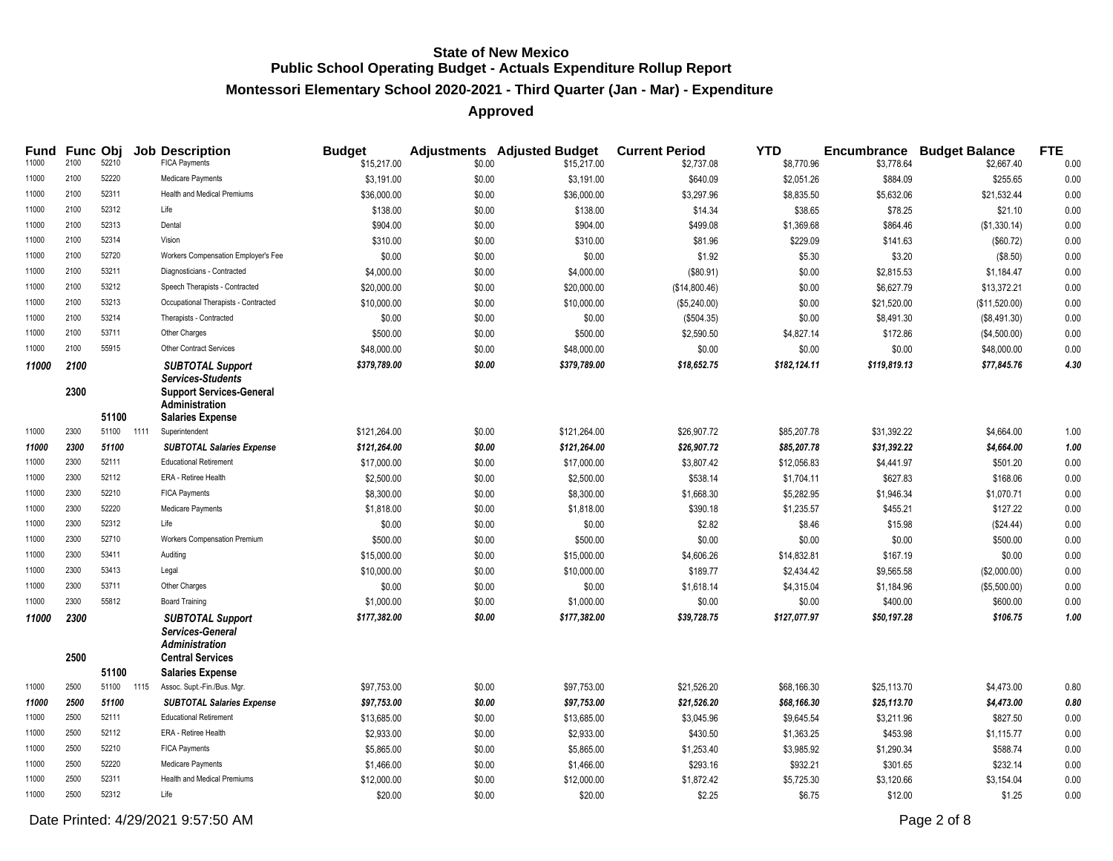#### **Montessori Elementary School 2020-2021 - Third Quarter (Jan - Mar) - Expenditure**

# **Approved**

| Fund  | Func Obj |                |      | <b>Job Description</b>                                                               | <b>Budget</b> |        | <b>Adjustments</b> Adjusted Budget | <b>Current Period</b> | <b>YTD</b>   |              | <b>Encumbrance Budget Balance</b> | <b>FTE</b> |
|-------|----------|----------------|------|--------------------------------------------------------------------------------------|---------------|--------|------------------------------------|-----------------------|--------------|--------------|-----------------------------------|------------|
| 11000 | 2100     | 52210          |      | <b>FICA Payments</b>                                                                 | \$15,217.00   | \$0.00 | \$15,217.00                        | \$2,737.08            | \$8,770.96   | \$3,778.64   | \$2,667.40                        | 0.00       |
| 11000 | 2100     | 52220          |      | Medicare Payments                                                                    | \$3,191.00    | \$0.00 | \$3,191.00                         | \$640.09              | \$2,051.26   | \$884.09     | \$255.65                          | 0.00       |
| 11000 | 2100     | 52311          |      | <b>Health and Medical Premiums</b>                                                   | \$36,000.00   | \$0.00 | \$36,000.00                        | \$3,297.96            | \$8,835.50   | \$5,632.06   | \$21,532.44                       | 0.00       |
| 11000 | 2100     | 52312          |      | Life                                                                                 | \$138.00      | \$0.00 | \$138.00                           | \$14.34               | \$38.65      | \$78.25      | \$21.10                           | 0.00       |
| 11000 | 2100     | 52313          |      | Dental                                                                               | \$904.00      | \$0.00 | \$904.00                           | \$499.08              | \$1,369.68   | \$864.46     | (\$1,330.14)                      | 0.00       |
| 11000 | 2100     | 52314          |      | Vision                                                                               | \$310.00      | \$0.00 | \$310.00                           | \$81.96               | \$229.09     | \$141.63     | (\$60.72)                         | 0.00       |
| 11000 | 2100     | 52720          |      | Workers Compensation Employer's Fee                                                  | \$0.00        | \$0.00 | \$0.00                             | \$1.92                | \$5.30       | \$3.20       | (\$8.50)                          | 0.00       |
| 11000 | 2100     | 53211          |      | Diagnosticians - Contracted                                                          | \$4,000.00    | \$0.00 | \$4,000.00                         | (\$80.91)             | \$0.00       | \$2,815.53   | \$1,184.47                        | 0.00       |
| 11000 | 2100     | 53212          |      | Speech Therapists - Contracted                                                       | \$20,000.00   | \$0.00 | \$20,000.00                        | (\$14,800.46)         | \$0.00       | \$6,627.79   | \$13,372.21                       | 0.00       |
| 11000 | 2100     | 53213          |      | Occupational Therapists - Contracted                                                 | \$10,000.00   | \$0.00 | \$10,000.00                        | (\$5,240.00)          | \$0.00       | \$21,520.00  | (\$11,520.00)                     | 0.00       |
| 11000 | 2100     | 53214          |      | Therapists - Contracted                                                              | \$0.00        | \$0.00 | \$0.00                             | (\$504.35)            | \$0.00       | \$8,491.30   | (\$8,491.30)                      | 0.00       |
| 11000 | 2100     | 53711          |      | Other Charges                                                                        | \$500.00      | \$0.00 | \$500.00                           | \$2,590.50            | \$4,827.14   | \$172.86     | (\$4,500.00)                      | 0.00       |
| 11000 | 2100     | 55915          |      | Other Contract Services                                                              | \$48,000.00   | \$0.00 | \$48,000.00                        | \$0.00                | \$0.00       | \$0.00       | \$48,000.00                       | 0.00       |
| 11000 | 2100     |                |      | <b>SUBTOTAL Support</b>                                                              | \$379,789.00  | \$0.00 | \$379,789.00                       | \$18,652.75           | \$182,124.11 | \$119,819.13 | \$77,845.76                       | 4.30       |
|       | 2300     |                |      | <b>Services-Students</b><br><b>Support Services-General</b><br><b>Administration</b> |               |        |                                    |                       |              |              |                                   |            |
|       |          | 51100          |      | <b>Salaries Expense</b>                                                              |               |        |                                    |                       |              |              |                                   |            |
| 11000 | 2300     | 51100          | 1111 | Superintendent                                                                       | \$121,264.00  | \$0.00 | \$121,264.00                       | \$26,907.72           | \$85,207.78  | \$31,392.22  | \$4,664.00                        | 1.00       |
| 11000 | 2300     | 51100          |      | <b>SUBTOTAL Salaries Expense</b>                                                     | \$121,264.00  | \$0.00 | \$121,264.00                       | \$26,907.72           | \$85,207.78  | \$31,392.22  | \$4,664.00                        | 1.00       |
| 11000 | 2300     | 52111          |      | <b>Educational Retirement</b>                                                        | \$17,000.00   | \$0.00 | \$17,000.00                        | \$3,807.42            | \$12,056.83  | \$4,441.97   | \$501.20                          | 0.00       |
| 11000 | 2300     | 52112          |      | ERA - Retiree Health                                                                 | \$2,500.00    | \$0.00 | \$2,500.00                         | \$538.14              | \$1,704.11   | \$627.83     | \$168.06                          | 0.00       |
| 11000 | 2300     | 52210          |      | <b>FICA Payments</b>                                                                 | \$8,300.00    | \$0.00 | \$8,300.00                         | \$1,668.30            | \$5,282.95   | \$1,946.34   | \$1,070.71                        | 0.00       |
| 11000 | 2300     | 52220          |      | Medicare Payments                                                                    | \$1,818.00    | \$0.00 | \$1,818.00                         | \$390.18              | \$1,235.57   | \$455.21     | \$127.22                          | 0.00       |
| 11000 | 2300     | 52312          |      | Life                                                                                 | \$0.00        | \$0.00 | \$0.00                             | \$2.82                | \$8.46       | \$15.98      | (\$24.44)                         | 0.00       |
| 11000 | 2300     | 52710          |      | Workers Compensation Premium                                                         | \$500.00      | \$0.00 | \$500.00                           | \$0.00                | \$0.00       | \$0.00       | \$500.00                          | 0.00       |
| 11000 | 2300     | 53411          |      | Auditing                                                                             | \$15,000.00   | \$0.00 | \$15,000.00                        | \$4,606.26            | \$14,832.81  | \$167.19     | \$0.00                            | 0.00       |
| 11000 | 2300     | 53413          |      | Legal                                                                                | \$10,000.00   | \$0.00 | \$10,000.00                        | \$189.77              | \$2,434.42   | \$9,565.58   | (\$2,000.00)                      | 0.00       |
| 11000 | 2300     | 53711          |      | Other Charges                                                                        | \$0.00        | \$0.00 | \$0.00                             | \$1,618.14            | \$4,315.04   | \$1,184.96   | (\$5,500.00)                      | 0.00       |
| 11000 | 2300     | 55812          |      | <b>Board Training</b>                                                                | \$1,000.00    | \$0.00 | \$1,000.00                         | \$0.00                | \$0.00       | \$400.00     | \$600.00                          | 0.00       |
| 11000 | 2300     |                |      | <b>SUBTOTAL Support</b><br>Services-General<br><b>Administration</b>                 | \$177,382.00  | \$0.00 | \$177,382.00                       | \$39,728.75           | \$127,077.97 | \$50,197.28  | \$106.75                          | 1.00       |
|       | 2500     |                |      | <b>Central Services</b>                                                              |               |        |                                    |                       |              |              |                                   |            |
| 11000 | 2500     | 51100<br>51100 | 1115 | <b>Salaries Expense</b><br>Assoc. Supt.-Fin./Bus. Mgr.                               | \$97,753.00   | \$0.00 | \$97,753.00                        | \$21,526.20           | \$68,166.30  | \$25,113.70  | \$4,473.00                        | 0.80       |
| 11000 | 2500     | 51100          |      | <b>SUBTOTAL Salaries Expense</b>                                                     | \$97,753.00   | \$0.00 | \$97,753.00                        | \$21,526.20           | \$68,166.30  | \$25,113.70  | \$4,473.00                        | 0.80       |
| 11000 | 2500     | 52111          |      | <b>Educational Retirement</b>                                                        | \$13,685.00   | \$0.00 | \$13,685.00                        | \$3,045.96            | \$9,645.54   | \$3,211.96   | \$827.50                          | 0.00       |
| 11000 | 2500     | 52112          |      | ERA - Retiree Health                                                                 | \$2,933.00    | \$0.00 | \$2,933.00                         | \$430.50              | \$1,363.25   | \$453.98     | \$1,115.77                        | 0.00       |
| 11000 | 2500     | 52210          |      | <b>FICA Payments</b>                                                                 | \$5,865.00    | \$0.00 | \$5,865.00                         | \$1,253.40            | \$3,985.92   | \$1,290.34   | \$588.74                          | 0.00       |
| 11000 | 2500     | 52220          |      | Medicare Payments                                                                    | \$1,466.00    | \$0.00 | \$1,466.00                         | \$293.16              | \$932.21     | \$301.65     | \$232.14                          | 0.00       |
| 11000 | 2500     | 52311          |      | <b>Health and Medical Premiums</b>                                                   | \$12,000.00   | \$0.00 | \$12,000.00                        | \$1,872.42            | \$5,725.30   | \$3,120.66   | \$3,154.04                        | 0.00       |
| 11000 | 2500     | 52312          |      | Life                                                                                 | \$20.00       | \$0.00 | \$20.00                            | \$2.25                | \$6.75       | \$12.00      | \$1.25                            | 0.00       |
|       |          |                |      |                                                                                      |               |        |                                    |                       |              |              |                                   |            |

Date Printed: 4/29/2021 9:57:50 AM Page 2 of 8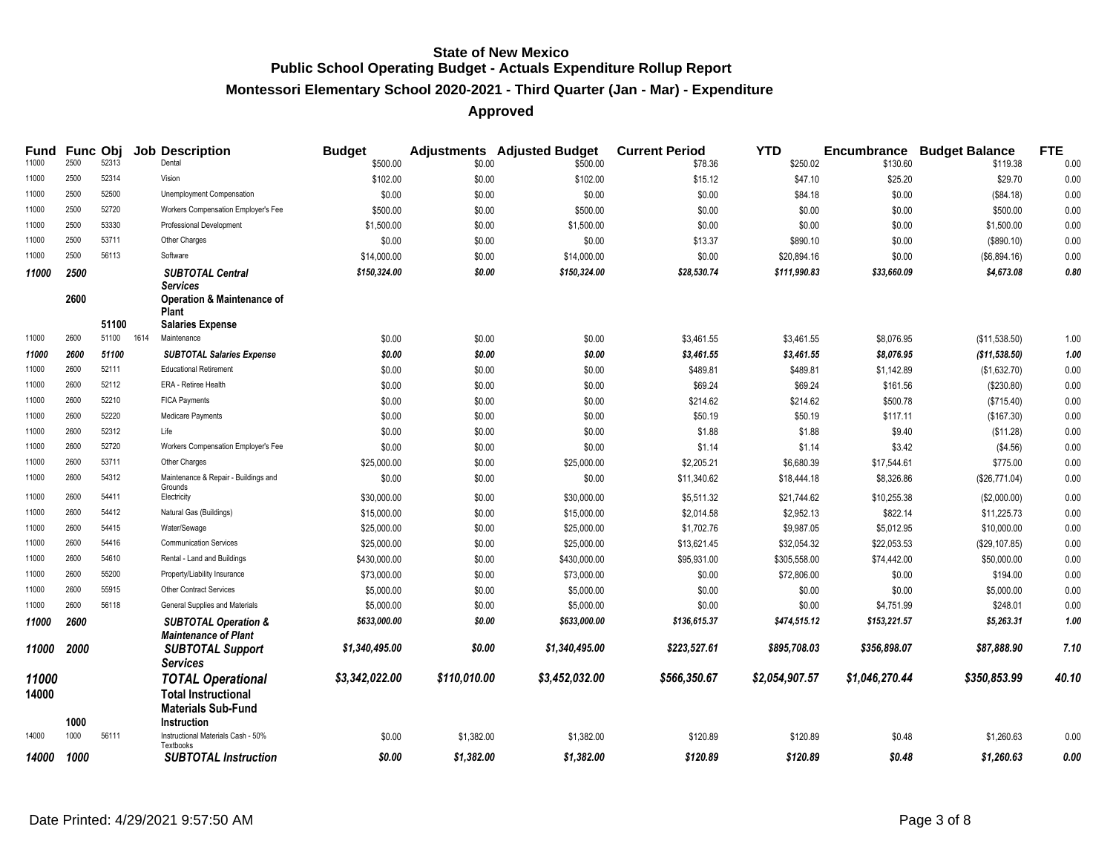#### **Montessori Elementary School 2020-2021 - Third Quarter (Jan - Mar) - Expenditure**

| Fund           |      | Func Obj |      | <b>Job Description</b>                                             | <b>Budget</b>  |              | <b>Adjustments</b> Adjusted Budget | <b>Current Period</b> | <b>YTD</b>     |                | <b>Encumbrance Budget Balance</b> | <b>FTE</b> |
|----------------|------|----------|------|--------------------------------------------------------------------|----------------|--------------|------------------------------------|-----------------------|----------------|----------------|-----------------------------------|------------|
| 11000          | 2500 | 52313    |      | Dental                                                             | \$500.00       | \$0.00       | \$500.00                           | \$78.36               | \$250.02       | \$130.60       | \$119.38                          | 0.00       |
| 11000          | 2500 | 52314    |      | Vision                                                             | \$102.00       | \$0.00       | \$102.00                           | \$15.12               | \$47.10        | \$25.20        | \$29.70                           | 0.00       |
| 11000          | 2500 | 52500    |      | Unemployment Compensation                                          | \$0.00         | \$0.00       | \$0.00                             | \$0.00                | \$84.18        | \$0.00         | (\$84.18)                         | 0.00       |
| 11000          | 2500 | 52720    |      | Workers Compensation Employer's Fee                                | \$500.00       | \$0.00       | \$500.00                           | \$0.00                | \$0.00         | \$0.00         | \$500.00                          | 0.00       |
| 11000          | 2500 | 53330    |      | Professional Development                                           | \$1,500.00     | \$0.00       | \$1,500.00                         | \$0.00                | \$0.00         | \$0.00         | \$1,500.00                        | 0.00       |
| 11000          | 2500 | 53711    |      | Other Charges                                                      | \$0.00         | \$0.00       | \$0.00                             | \$13.37               | \$890.10       | \$0.00         | (\$890.10)                        | 0.00       |
| 11000          | 2500 | 56113    |      | Software                                                           | \$14,000.00    | \$0.00       | \$14,000.00                        | \$0.00                | \$20,894.16    | \$0.00         | (\$6,894.16)                      | 0.00       |
| 11000          | 2500 |          |      | <b>SUBTOTAL Central</b>                                            | \$150,324.00   | \$0.00       | \$150,324.00                       | \$28,530.74           | \$111,990.83   | \$33,660.09    | \$4,673.08                        | 0.80       |
|                | 2600 |          |      | Services<br><b>Operation &amp; Maintenance of</b><br><b>Plant</b>  |                |              |                                    |                       |                |                |                                   |            |
|                |      | 51100    |      | <b>Salaries Expense</b>                                            |                |              |                                    |                       |                |                |                                   |            |
| 11000          | 2600 | 51100    | 1614 | Maintenance                                                        | \$0.00         | \$0.00       | \$0.00                             | \$3,461.55            | \$3,461.55     | \$8,076.95     | (\$11,538.50)                     | 1.00       |
| 11000          | 2600 | 51100    |      | <b>SUBTOTAL Salaries Expense</b>                                   | \$0.00         | \$0.00       | \$0.00                             | \$3,461.55            | \$3,461.55     | \$8,076.95     | (\$11,538.50)                     | 1.00       |
| 11000          | 2600 | 52111    |      | <b>Educational Retirement</b>                                      | \$0.00         | \$0.00       | \$0.00                             | \$489.81              | \$489.81       | \$1,142.89     | (\$1,632.70)                      | 0.00       |
| 11000          | 2600 | 52112    |      | ERA - Retiree Health                                               | \$0.00         | \$0.00       | \$0.00                             | \$69.24               | \$69.24        | \$161.56       | (\$230.80)                        | 0.00       |
| 11000          | 2600 | 52210    |      | <b>FICA Payments</b>                                               | \$0.00         | \$0.00       | \$0.00                             | \$214.62              | \$214.62       | \$500.78       | (\$715.40)                        | 0.00       |
| 11000          | 2600 | 52220    |      | Medicare Payments                                                  | \$0.00         | \$0.00       | \$0.00                             | \$50.19               | \$50.19        | \$117.11       | (\$167.30)                        | 0.00       |
| 11000          | 2600 | 52312    |      | Life                                                               | \$0.00         | \$0.00       | \$0.00                             | \$1.88                | \$1.88         | \$9.40         | (\$11.28)                         | 0.00       |
| 11000          | 2600 | 52720    |      | Workers Compensation Employer's Fee                                | \$0.00         | \$0.00       | \$0.00                             | \$1.14                | \$1.14         | \$3.42         | (\$4.56)                          | 0.00       |
| 11000          | 2600 | 53711    |      | Other Charges                                                      | \$25,000.00    | \$0.00       | \$25,000.00                        | \$2,205.21            | \$6,680.39     | \$17,544.61    | \$775.00                          | 0.00       |
| 11000          | 2600 | 54312    |      | Maintenance & Repair - Buildings and<br>Grounds                    | \$0.00         | \$0.00       | \$0.00                             | \$11,340.62           | \$18,444.18    | \$8,326.86     | (\$26,771.04)                     | 0.00       |
| 11000          | 2600 | 54411    |      | Electricity                                                        | \$30,000.00    | \$0.00       | \$30,000.00                        | \$5,511.32            | \$21,744.62    | \$10,255.38    | (\$2,000.00)                      | 0.00       |
| 11000          | 2600 | 54412    |      | Natural Gas (Buildings)                                            | \$15,000.00    | \$0.00       | \$15,000.00                        | \$2,014.58            | \$2,952.13     | \$822.14       | \$11,225.73                       | 0.00       |
| 11000          | 2600 | 54415    |      | Water/Sewage                                                       | \$25,000.00    | \$0.00       | \$25,000.00                        | \$1,702.76            | \$9,987.05     | \$5,012.95     | \$10,000.00                       | 0.00       |
| 11000          | 2600 | 54416    |      | <b>Communication Services</b>                                      | \$25,000.00    | \$0.00       | \$25,000.00                        | \$13,621.45           | \$32,054.32    | \$22,053.53    | (\$29,107.85)                     | 0.00       |
| 11000          | 2600 | 54610    |      | Rental - Land and Buildings                                        | \$430,000.00   | \$0.00       | \$430,000.00                       | \$95,931.00           | \$305,558.00   | \$74,442.00    | \$50,000.00                       | 0.00       |
| 11000          | 2600 | 55200    |      | Property/Liability Insurance                                       | \$73,000.00    | \$0.00       | \$73,000.00                        | \$0.00                | \$72,806.00    | \$0.00         | \$194.00                          | 0.00       |
| 11000          | 2600 | 55915    |      | <b>Other Contract Services</b>                                     | \$5,000.00     | \$0.00       | \$5,000.00                         | \$0.00                | \$0.00         | \$0.00         | \$5,000.00                        | 0.00       |
| 11000          | 2600 | 56118    |      | General Supplies and Materials                                     | \$5,000.00     | \$0.00       | \$5,000.00                         | \$0.00                | \$0.00         | \$4,751.99     | \$248.01                          | 0.00       |
| 11000          | 2600 |          |      | <b>SUBTOTAL Operation &amp;</b><br>Maintenance of Plant            | \$633,000.00   | \$0.00       | \$633,000.00                       | \$136,615.37          | \$474,515.12   | \$153,221.57   | \$5,263.31                        | 1.00       |
| 11000          | 2000 |          |      | <b>SUBTOTAL Support</b>                                            | \$1,340,495.00 | \$0.00       | \$1,340,495.00                     | \$223,527.61          | \$895,708.03   | \$356,898.07   | \$87,888.90                       | 7.10       |
| 11000<br>14000 |      |          |      | Services<br><b>TOTAL Operational</b><br><b>Total Instructional</b> | \$3,342,022.00 | \$110,010.00 | \$3,452,032.00                     | \$566,350.67          | \$2,054,907.57 | \$1,046,270.44 | \$350,853.99                      | 40.10      |
|                | 1000 |          |      | <b>Materials Sub-Fund</b><br>Instruction                           |                |              |                                    |                       |                |                |                                   |            |
| 14000          | 1000 | 56111    |      | Instructional Materials Cash - 50%<br>Textbooks                    | \$0.00         | \$1,382.00   | \$1,382.00                         | \$120.89              | \$120.89       | \$0.48         | \$1,260.63                        | 0.00       |
| 14000          | 1000 |          |      | <b>SUBTOTAL Instruction</b>                                        | \$0.00         | \$1,382.00   | \$1,382.00                         | \$120.89              | \$120.89       | \$0.48         | \$1,260.63                        | 0.00       |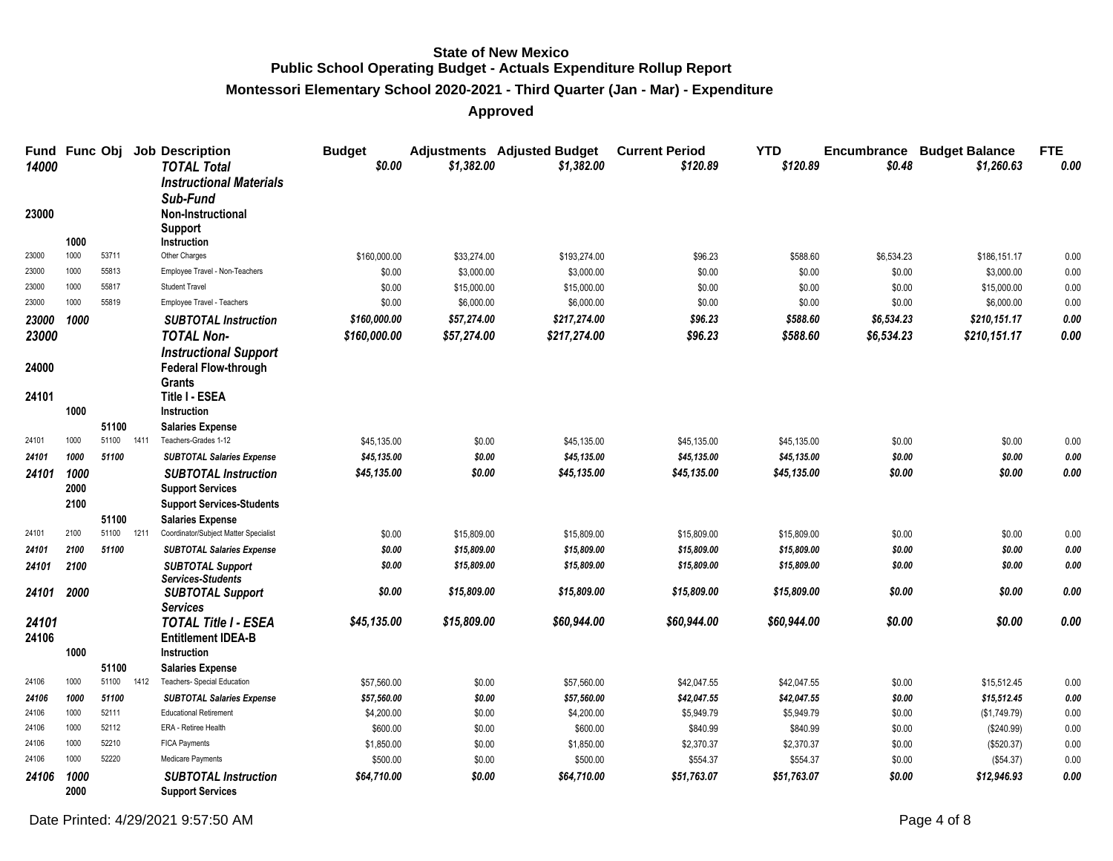#### **Montessori Elementary School 2020-2021 - Third Quarter (Jan - Mar) - Expenditure**

| Fund<br>14000  | <b>Func Obj</b> |                |      | <b>Job Description</b><br><b>TOTAL Total</b>                                             | <b>Budget</b><br>\$0.00 | \$1.382.00                | <b>Adjustments</b> Adjusted Budget<br>\$1,382.00 | <b>Current Period</b><br>\$120.89 | <b>YTD</b><br>\$120.89 | Encumbrance<br>\$0.48 | <b>Budget Balance</b><br>\$1,260.63 | <b>FTE</b><br>0.00 |
|----------------|-----------------|----------------|------|------------------------------------------------------------------------------------------|-------------------------|---------------------------|--------------------------------------------------|-----------------------------------|------------------------|-----------------------|-------------------------------------|--------------------|
| 23000          |                 |                |      | <b>Instructional Materials</b><br>Sub-Fund<br><b>Non-Instructional</b><br><b>Support</b> |                         |                           |                                                  |                                   |                        |                       |                                     |                    |
|                | 1000            |                |      | Instruction                                                                              |                         |                           |                                                  |                                   |                        |                       |                                     |                    |
| 23000<br>23000 | 1000<br>1000    | 53711<br>55813 |      | Other Charges<br>Employee Travel - Non-Teachers                                          | \$160,000.00            | \$33,274.00               | \$193,274.00                                     | \$96.23                           | \$588.60               | \$6,534.23            | \$186,151.17                        | 0.00               |
| 23000          | 1000            | 55817          |      | <b>Student Travel</b>                                                                    | \$0.00<br>\$0.00        | \$3,000.00<br>\$15,000.00 | \$3,000.00<br>\$15,000.00                        | \$0.00<br>\$0.00                  | \$0.00<br>\$0.00       | \$0.00<br>\$0.00      | \$3,000.00<br>\$15,000.00           | 0.00               |
| 23000          | 1000            | 55819          |      | Employee Travel - Teachers                                                               | \$0.00                  | \$6,000.00                | \$6,000.00                                       | \$0.00                            | \$0.00                 | \$0.00                | \$6,000.00                          | 0.00<br>0.00       |
|                |                 |                |      |                                                                                          | \$160,000,00            | \$57,274.00               | \$217,274.00                                     | \$96.23                           | \$588.60               | \$6,534.23            | \$210.151.17                        | 0.00               |
| 23000          | 1000            |                |      | <b>SUBTOTAL Instruction</b>                                                              |                         |                           |                                                  |                                   |                        |                       |                                     |                    |
| 23000          |                 |                |      | <b>TOTAL Non-</b>                                                                        | \$160,000.00            | \$57,274.00               | \$217,274.00                                     | \$96.23                           | \$588.60               | \$6,534.23            | \$210,151.17                        | 0.00               |
|                |                 |                |      | <b>Instructional Support</b>                                                             |                         |                           |                                                  |                                   |                        |                       |                                     |                    |
| 24000          |                 |                |      | <b>Federal Flow-through</b><br><b>Grants</b>                                             |                         |                           |                                                  |                                   |                        |                       |                                     |                    |
| 24101          |                 |                |      | Title I - ESEA                                                                           |                         |                           |                                                  |                                   |                        |                       |                                     |                    |
|                | 1000            |                |      | Instruction                                                                              |                         |                           |                                                  |                                   |                        |                       |                                     |                    |
|                |                 | 51100          |      | <b>Salaries Expense</b>                                                                  |                         |                           |                                                  |                                   |                        |                       |                                     |                    |
| 24101          | 1000            | 51100          | 1411 | Teachers-Grades 1-12                                                                     | \$45,135.00             | \$0.00                    | \$45,135.00                                      | \$45,135.00                       | \$45,135.00            | \$0.00                | \$0.00                              | 0.00               |
| 24101          | 1000            | 51100          |      | <b>SUBTOTAL Salaries Expense</b>                                                         | \$45,135.00             | \$0.00                    | \$45,135.00                                      | \$45,135.00                       | \$45,135.00            | \$0.00                | \$0.00                              | 0.00               |
| 24101          | 1000            |                |      | <b>SUBTOTAL Instruction</b>                                                              | \$45,135.00             | \$0.00                    | \$45,135.00                                      | \$45,135.00                       | \$45,135.00            | \$0.00                | \$0.00                              | 0.00               |
|                | 2000            |                |      | <b>Support Services</b>                                                                  |                         |                           |                                                  |                                   |                        |                       |                                     |                    |
|                | 2100            |                |      | <b>Support Services-Students</b>                                                         |                         |                           |                                                  |                                   |                        |                       |                                     |                    |
|                |                 | 51100          |      | <b>Salaries Expense</b>                                                                  |                         |                           |                                                  |                                   |                        |                       |                                     |                    |
| 24101          | 2100            | 51100          | 1211 | Coordinator/Subject Matter Specialist                                                    | \$0.00                  | \$15,809.00               | \$15,809.00                                      | \$15,809.00                       | \$15,809.00            | \$0.00                | \$0.00                              | 0.00               |
| 24101          | 2100            | 51100          |      | <b>SUBTOTAL Salaries Expense</b>                                                         | \$0.00                  | \$15,809.00               | \$15,809.00                                      | \$15,809.00                       | \$15,809.00            | \$0.00                | \$0.00                              | 0.00               |
| 24101          | 2100            |                |      | <b>SUBTOTAL Support</b><br><b>Services-Students</b>                                      | \$0.00                  | \$15,809.00               | \$15,809.00                                      | \$15,809.00                       | \$15,809.00            | \$0.00                | \$0.00                              | 0.00               |
| 24101          | 2000            |                |      | <b>SUBTOTAL Support</b><br><b>Services</b>                                               | \$0.00                  | \$15,809.00               | \$15,809.00                                      | \$15,809.00                       | \$15,809.00            | \$0.00                | \$0.00                              | 0.00               |
| 24101          |                 |                |      | <b>TOTAL Title I - ESEA</b>                                                              | \$45,135.00             | \$15,809,00               | \$60,944.00                                      | \$60,944.00                       | \$60,944.00            | \$0.00                | \$0.00                              | 0.00               |
| 24106          |                 |                |      | <b>Entitlement IDEA-B</b>                                                                |                         |                           |                                                  |                                   |                        |                       |                                     |                    |
|                | 1000            |                |      | Instruction                                                                              |                         |                           |                                                  |                                   |                        |                       |                                     |                    |
|                |                 | 51100          |      | <b>Salaries Expense</b>                                                                  |                         |                           |                                                  |                                   |                        |                       |                                     |                    |
| 24106          | 1000            | 51100          | 1412 | Teachers- Special Education                                                              | \$57,560.00             | \$0.00                    | \$57,560.00                                      | \$42,047.55                       | \$42,047.55            | \$0.00                | \$15,512.45                         | 0.00               |
| 24106          | 1000            | 51100          |      | <b>SUBTOTAL Salaries Expense</b>                                                         | \$57,560.00             | \$0.00                    | \$57,560.00                                      | \$42,047.55                       | \$42,047.55            | \$0.00                | \$15,512.45                         | 0.00               |
| 24106          | 1000            | 52111          |      | <b>Educational Retirement</b>                                                            | \$4,200.00              | \$0.00                    | \$4,200.00                                       | \$5,949.79                        | \$5,949.79             | \$0.00                | (\$1,749.79)                        | 0.00               |
| 24106          | 1000            | 52112          |      | ERA - Retiree Health                                                                     | \$600.00                | \$0.00                    | \$600.00                                         | \$840.99                          | \$840.99               | \$0.00                | (\$240.99)                          | 0.00               |
| 24106          | 1000            | 52210          |      | FICA Payments                                                                            | \$1,850.00              | \$0.00                    | \$1,850.00                                       | \$2,370.37                        | \$2,370.37             | \$0.00                | (\$520.37)                          | 0.00               |
| 24106          | 1000            | 52220          |      | Medicare Payments                                                                        | \$500.00                | \$0.00                    | \$500.00                                         | \$554.37                          | \$554.37               | \$0.00                | (\$54.37)                           | 0.00               |
| 24106          | 1000<br>2000    |                |      | <b>SUBTOTAL Instruction</b><br><b>Support Services</b>                                   | \$64,710.00             | \$0.00                    | \$64,710.00                                      | \$51,763.07                       | \$51,763.07            | \$0.00                | \$12,946.93                         | 0.00               |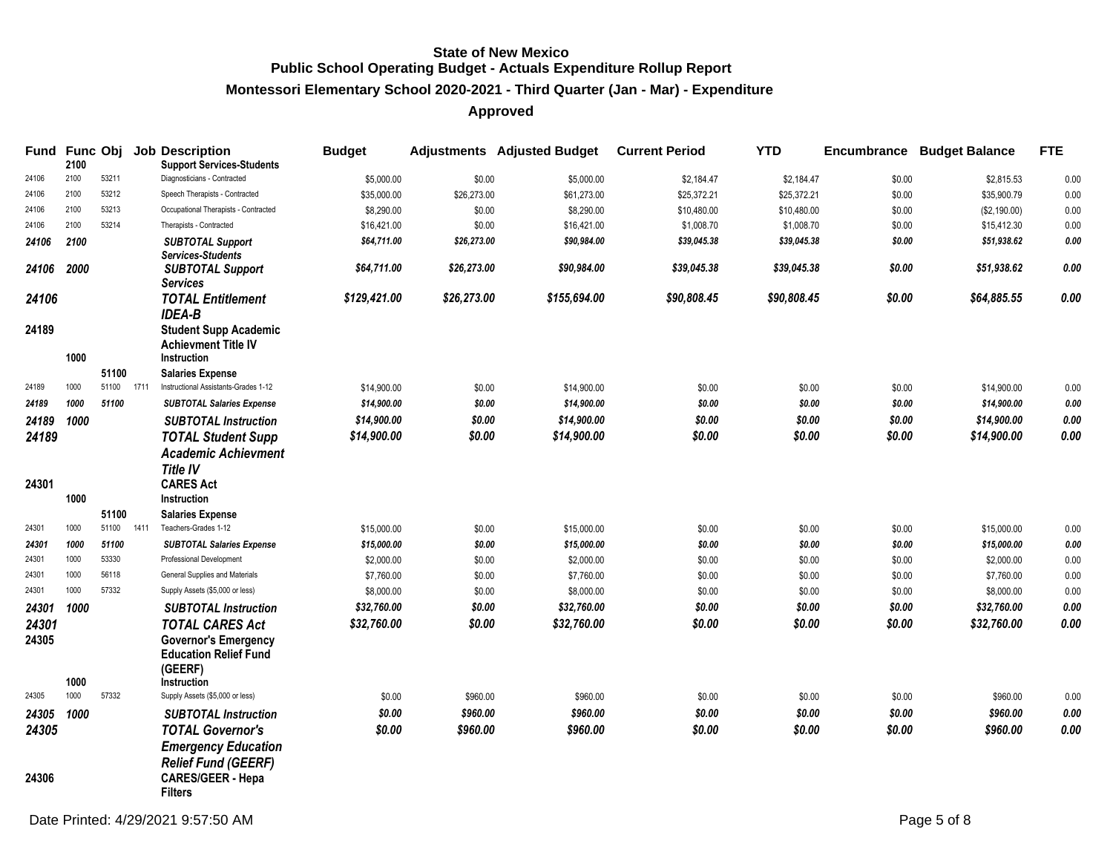#### **Montessori Elementary School 2020-2021 - Third Quarter (Jan - Mar) - Expenditure**

|                | 2100 |       |      | Fund Func Obj Job Description<br><b>Support Services-Students</b>                                                      | <b>Budget</b> |             | <b>Adjustments</b> Adjusted Budget | <b>Current Period</b> | <b>YTD</b>  |        | <b>Encumbrance Budget Balance</b> | <b>FTE</b>   |
|----------------|------|-------|------|------------------------------------------------------------------------------------------------------------------------|---------------|-------------|------------------------------------|-----------------------|-------------|--------|-----------------------------------|--------------|
| 24106          | 2100 | 53211 |      | Diagnosticians - Contracted                                                                                            | \$5,000.00    | \$0.00      | \$5,000.00                         | \$2,184.47            | \$2,184.47  | \$0.00 | \$2,815.53                        | 0.00         |
| 24106          | 2100 | 53212 |      | Speech Therapists - Contracted                                                                                         | \$35,000.00   | \$26,273.00 | \$61,273.00                        | \$25,372.21           | \$25,372.21 | \$0.00 | \$35,900.79                       | 0.00         |
| 24106          | 2100 | 53213 |      | Occupational Therapists - Contracted                                                                                   | \$8,290.00    | \$0.00      | \$8,290.00                         | \$10,480.00           | \$10,480.00 | \$0.00 | (\$2,190.00)                      | 0.00         |
| 24106          | 2100 | 53214 |      | Therapists - Contracted                                                                                                | \$16,421.00   | \$0.00      | \$16,421.00                        | \$1,008.70            | \$1,008.70  | \$0.00 | \$15,412.30                       | 0.00         |
| 24106          | 2100 |       |      | <b>SUBTOTAL Support</b><br><b>Services-Students</b>                                                                    | \$64,711.00   | \$26,273.00 | \$90,984.00                        | \$39,045.38           | \$39,045.38 | \$0.00 | \$51,938.62                       | 0.00         |
| 24106          | 2000 |       |      | <b>SUBTOTAL Support</b><br><b>Services</b>                                                                             | \$64,711.00   | \$26,273.00 | \$90,984.00                        | \$39,045.38           | \$39,045,38 | \$0.00 | \$51,938.62                       | 0.00         |
| 24106          |      |       |      | <b>TOTAL Entitlement</b><br><b>IDEA-B</b>                                                                              | \$129,421.00  | \$26,273.00 | \$155,694.00                       | \$90,808.45           | \$90,808.45 | \$0.00 | \$64,885.55                       | 0.00         |
| 24189          | 1000 |       |      | <b>Student Supp Academic</b><br><b>Achievment Title IV</b><br>Instruction                                              |               |             |                                    |                       |             |        |                                   |              |
|                |      | 51100 |      | <b>Salaries Expense</b>                                                                                                |               |             |                                    |                       |             |        |                                   |              |
| 24189          | 1000 | 51100 | 1711 | Instructional Assistants-Grades 1-12                                                                                   | \$14,900.00   | \$0.00      | \$14,900.00                        | \$0.00                | \$0.00      | \$0.00 | \$14,900.00                       | 0.00         |
| 24189          | 1000 | 51100 |      | <b>SUBTOTAL Salaries Expense</b>                                                                                       | \$14,900.00   | \$0.00      | \$14,900.00                        | \$0.00                | \$0.00      | \$0.00 | \$14,900.00                       | 0.00         |
| 24189          | 1000 |       |      | <b>SUBTOTAL Instruction</b>                                                                                            | \$14,900.00   | \$0.00      | \$14,900.00                        | \$0.00                | \$0.00      | \$0.00 | \$14,900.00                       | $\pmb{0.00}$ |
| 24189          |      |       |      | <b>TOTAL Student Supp</b>                                                                                              | \$14,900.00   | \$0.00      | \$14,900.00                        | \$0.00                | \$0.00      | \$0.00 | \$14,900.00                       | 0.00         |
|                |      |       |      | <b>Academic Achievment</b>                                                                                             |               |             |                                    |                       |             |        |                                   |              |
|                |      |       |      | <b>Title IV</b>                                                                                                        |               |             |                                    |                       |             |        |                                   |              |
| 24301          |      |       |      | <b>CARES Act</b>                                                                                                       |               |             |                                    |                       |             |        |                                   |              |
|                | 1000 |       |      | Instruction                                                                                                            |               |             |                                    |                       |             |        |                                   |              |
|                |      | 51100 |      | <b>Salaries Expense</b>                                                                                                |               |             |                                    |                       |             |        |                                   |              |
| 24301          | 1000 | 51100 | 1411 | Teachers-Grades 1-12                                                                                                   | \$15,000.00   | \$0.00      | \$15,000.00                        | \$0.00                | \$0.00      | \$0.00 | \$15,000.00                       | 0.00         |
| 24301          | 1000 | 51100 |      | <b>SUBTOTAL Salaries Expense</b>                                                                                       | \$15,000.00   | \$0.00      | \$15,000.00                        | \$0.00                | \$0.00      | \$0.00 | \$15,000.00                       | 0.00         |
| 24301          | 1000 | 53330 |      | Professional Development                                                                                               | \$2,000.00    | \$0.00      | \$2,000.00                         | \$0.00                | \$0.00      | \$0.00 | \$2,000.00                        | 0.00         |
| 24301          | 1000 | 56118 |      | General Supplies and Materials                                                                                         | \$7,760.00    | \$0.00      | \$7,760.00                         | \$0.00                | \$0.00      | \$0.00 | \$7,760.00                        | 0.00         |
| 24301          | 1000 | 57332 |      | Supply Assets (\$5,000 or less)                                                                                        | \$8,000.00    | \$0.00      | \$8,000.00                         | \$0.00                | \$0.00      | \$0.00 | \$8,000.00                        | 0.00         |
| 24301          | 1000 |       |      | <b>SUBTOTAL Instruction</b>                                                                                            | \$32,760.00   | \$0.00      | \$32,760.00                        | \$0.00                | \$0.00      | \$0.00 | \$32,760.00                       | 0.00         |
| 24301<br>24305 | 1000 |       |      | <b>TOTAL CARES Act</b><br><b>Governor's Emergency</b><br><b>Education Relief Fund</b><br>(GEERF)<br><b>Instruction</b> | \$32,760.00   | \$0.00      | \$32,760.00                        | \$0.00                | \$0.00      | \$0.00 | \$32,760.00                       | 0.00         |
| 24305          | 1000 | 57332 |      | Supply Assets (\$5,000 or less)                                                                                        | \$0.00        | \$960.00    | \$960.00                           | \$0.00                | \$0.00      | \$0.00 | \$960.00                          | 0.00         |
| 24305 1000     |      |       |      | <b>SUBTOTAL Instruction</b>                                                                                            | \$0.00        | \$960.00    | \$960.00                           | \$0.00                | \$0.00      | \$0.00 | \$960.00                          | 0.00         |
| 24305          |      |       |      | <b>TOTAL Governor's</b><br><b>Emergency Education</b>                                                                  | \$0.00        | \$960.00    | \$960.00                           | \$0.00                | \$0.00      | \$0.00 | \$960.00                          | 0.00         |
| 24306          |      |       |      | <b>Relief Fund (GEERF)</b><br><b>CARES/GEER - Hepa</b><br><b>Filters</b>                                               |               |             |                                    |                       |             |        |                                   |              |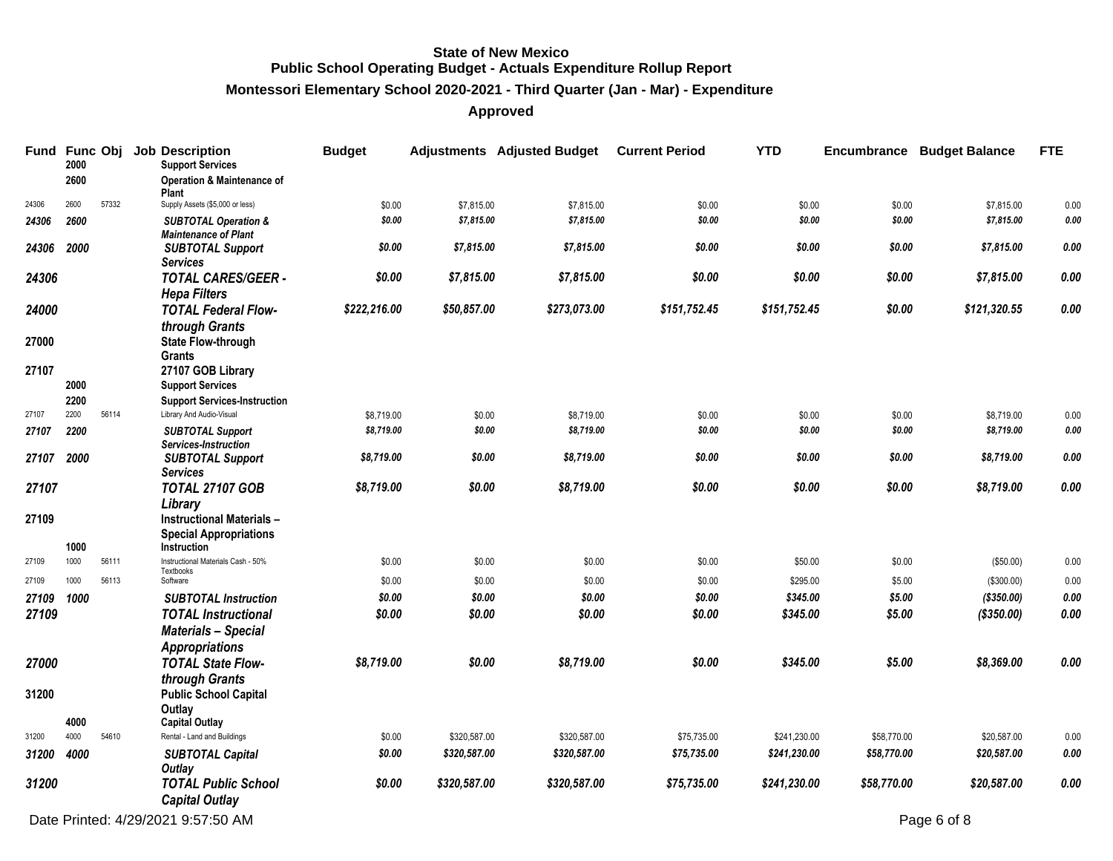**Montessori Elementary School 2020-2021 - Third Quarter (Jan - Mar) - Expenditure**

|            | 2000 |       | Fund Func Obj Job Description<br><b>Support Services</b>       | <b>Budget</b> |              | <b>Adjustments</b> Adjusted Budget | <b>Current Period</b> | <b>YTD</b>   |             | <b>Encumbrance Budget Balance</b> | <b>FTE</b> |
|------------|------|-------|----------------------------------------------------------------|---------------|--------------|------------------------------------|-----------------------|--------------|-------------|-----------------------------------|------------|
|            | 2600 |       | <b>Operation &amp; Maintenance of</b><br>Plant                 |               |              |                                    |                       |              |             |                                   |            |
| 24306      | 2600 | 57332 | Supply Assets (\$5,000 or less)                                | \$0.00        | \$7,815.00   | \$7,815.00                         | \$0.00                | \$0.00       | \$0.00      | \$7,815.00                        | 0.00       |
| 24306      | 2600 |       | <b>SUBTOTAL Operation &amp;</b><br><b>Maintenance of Plant</b> | \$0.00        | \$7,815.00   | \$7,815.00                         | \$0.00                | \$0.00       | \$0.00      | \$7,815.00                        | 0.00       |
| 24306      | 2000 |       | <b>SUBTOTAL Support</b><br><b>Services</b>                     | \$0.00        | \$7,815.00   | \$7,815.00                         | \$0.00                | \$0.00       | \$0.00      | \$7,815.00                        | 0.00       |
| 24306      |      |       | <b>TOTAL CARES/GEER -</b><br><b>Hepa Filters</b>               | \$0.00        | \$7,815.00   | \$7,815.00                         | \$0.00                | \$0.00       | \$0.00      | \$7,815.00                        | 0.00       |
| 24000      |      |       | <b>TOTAL Federal Flow-</b>                                     | \$222,216.00  | \$50,857.00  | \$273,073.00                       | \$151,752.45          | \$151,752.45 | \$0.00      | \$121,320.55                      | 0.00       |
| 27000      |      |       | through Grants<br><b>State Flow-through</b>                    |               |              |                                    |                       |              |             |                                   |            |
| 27107      |      |       | <b>Grants</b><br>27107 GOB Library                             |               |              |                                    |                       |              |             |                                   |            |
|            | 2000 |       | <b>Support Services</b>                                        |               |              |                                    |                       |              |             |                                   |            |
|            | 2200 |       | <b>Support Services-Instruction</b>                            |               |              |                                    |                       |              |             |                                   |            |
| 27107      | 2200 | 56114 | Library And Audio-Visual                                       | \$8,719.00    | \$0.00       | \$8,719.00                         | \$0.00                | \$0.00       | \$0.00      | \$8,719.00                        | 0.00       |
| 27107      | 2200 |       | <b>SUBTOTAL Support</b>                                        | \$8,719.00    | \$0.00       | \$8,719.00                         | \$0.00                | \$0.00       | \$0.00      | \$8,719.00                        | 0.00       |
|            |      |       | Services-Instruction                                           |               |              |                                    |                       |              |             |                                   |            |
| 27107      | 2000 |       | <b>SUBTOTAL Support</b>                                        | \$8,719.00    | \$0.00       | \$8,719.00                         | \$0.00                | \$0.00       | \$0.00      | \$8,719.00                        | 0.00       |
|            |      |       | <b>Services</b>                                                |               |              |                                    |                       |              |             |                                   |            |
| 27107      |      |       | <b>TOTAL 27107 GOB</b>                                         | \$8,719.00    | \$0.00       | \$8,719.00                         | \$0.00                | \$0.00       | \$0.00      | \$8,719.00                        | 0.00       |
|            |      |       | Library                                                        |               |              |                                    |                       |              |             |                                   |            |
| 27109      |      |       | Instructional Materials -<br><b>Special Appropriations</b>     |               |              |                                    |                       |              |             |                                   |            |
|            | 1000 |       | Instruction                                                    |               |              |                                    |                       |              |             |                                   |            |
| 27109      | 1000 | 56111 | Instructional Materials Cash - 50%                             | \$0.00        | \$0.00       | \$0.00                             | \$0.00                | \$50.00      | \$0.00      | (\$50.00)                         | 0.00       |
| 27109      | 1000 | 56113 | Textbooks<br>Software                                          | \$0.00        | \$0.00       | \$0.00                             | \$0.00                | \$295.00     | \$5.00      | (\$300.00)                        | 0.00       |
| 27109 1000 |      |       | <b>SUBTOTAL Instruction</b>                                    | \$0.00        | \$0.00       | \$0.00                             | \$0.00                | \$345.00     | \$5.00      | (\$350.00)                        | 0.00       |
| 27109      |      |       | <b>TOTAL Instructional</b>                                     | \$0.00        | \$0.00       | \$0.00                             | \$0.00                | \$345.00     | \$5.00      | (\$350.00)                        | 0.00       |
|            |      |       | <b>Materials - Special</b>                                     |               |              |                                    |                       |              |             |                                   |            |
|            |      |       | <b>Appropriations</b>                                          |               |              |                                    |                       |              |             |                                   |            |
| 27000      |      |       | <b>TOTAL State Flow-</b>                                       | \$8,719.00    | \$0.00       | \$8,719.00                         | \$0.00                | \$345.00     | \$5.00      | \$8,369.00                        | 0.00       |
|            |      |       | through Grants                                                 |               |              |                                    |                       |              |             |                                   |            |
| 31200      |      |       | <b>Public School Capital</b>                                   |               |              |                                    |                       |              |             |                                   |            |
|            |      |       | Outlay                                                         |               |              |                                    |                       |              |             |                                   |            |
|            | 4000 |       | <b>Capital Outlay</b>                                          |               |              |                                    |                       |              |             |                                   |            |
| 31200      | 4000 | 54610 | Rental - Land and Buildings                                    | \$0.00        | \$320,587.00 | \$320,587.00                       | \$75,735.00           | \$241,230.00 | \$58,770.00 | \$20,587.00                       | 0.00       |
| 31200      | 4000 |       | <b>SUBTOTAL Capital</b><br>Outlay                              | \$0.00        | \$320,587.00 | \$320,587.00                       | \$75,735.00           | \$241,230.00 | \$58,770.00 | \$20,587.00                       | 0.00       |
| 31200      |      |       | <b>TOTAL Public School</b><br><b>Capital Outlay</b>            | \$0.00        | \$320,587.00 | \$320,587.00                       | \$75,735.00           | \$241,230.00 | \$58,770.00 | \$20,587.00                       | 0.00       |
|            |      |       | Date Printed: 4/29/2021 9:57:50 AM                             |               |              |                                    |                       |              |             | Page 6 of 8                       |            |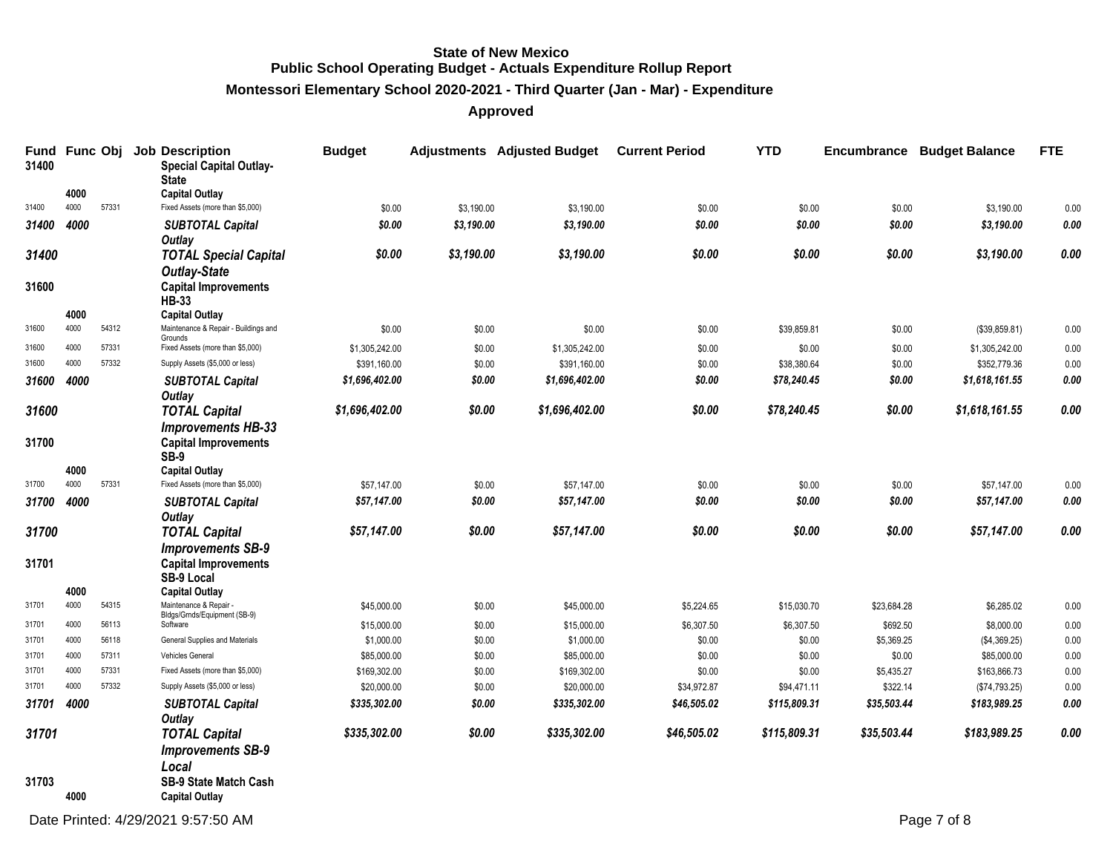**Montessori Elementary School 2020-2021 - Third Quarter (Jan - Mar) - Expenditure**

| 31400 | Fund Func Obj |       | <b>Job Description</b><br><b>Special Capital Outlay-</b><br><b>State</b>                   | <b>Budget</b>  |            | <b>Adjustments</b> Adjusted Budget | <b>Current Period</b> | <b>YTD</b>   |             | <b>Encumbrance Budget Balance</b> | <b>FTE</b> |
|-------|---------------|-------|--------------------------------------------------------------------------------------------|----------------|------------|------------------------------------|-----------------------|--------------|-------------|-----------------------------------|------------|
|       | 4000          |       | <b>Capital Outlay</b>                                                                      |                |            |                                    |                       |              |             |                                   |            |
| 31400 | 4000          | 57331 | Fixed Assets (more than \$5,000)                                                           | \$0.00         | \$3,190.00 | \$3,190.00                         | \$0.00                | \$0.00       | \$0.00      | \$3,190.00                        | 0.00       |
| 31400 | 4000          |       | <b>SUBTOTAL Capital</b>                                                                    | \$0.00         | \$3,190.00 | \$3,190.00                         | \$0.00                | \$0.00       | \$0.00      | \$3,190.00                        | 0.00       |
|       |               |       | <b>Outlay</b>                                                                              |                |            |                                    |                       |              |             |                                   |            |
| 31400 |               |       | <b>TOTAL Special Capital</b><br><b>Outlay-State</b>                                        | \$0.00         | \$3,190.00 | \$3,190.00                         | \$0.00                | \$0.00       | \$0.00      | \$3,190.00                        | 0.00       |
| 31600 |               |       | <b>Capital Improvements</b><br><b>HB-33</b>                                                |                |            |                                    |                       |              |             |                                   |            |
|       | 4000          |       | <b>Capital Outlay</b>                                                                      |                |            |                                    |                       |              |             |                                   |            |
| 31600 | 4000          | 54312 | Maintenance & Repair - Buildings and<br>Grounds                                            | \$0.00         | \$0.00     | \$0.00                             | \$0.00                | \$39,859.81  | \$0.00      | (\$39,859.81)                     | 0.00       |
| 31600 | 4000          | 57331 | Fixed Assets (more than \$5,000)                                                           | \$1,305,242.00 | \$0.00     | \$1,305,242.00                     | \$0.00                | \$0.00       | \$0.00      | \$1,305,242.00                    | 0.00       |
| 31600 | 4000          | 57332 | Supply Assets (\$5,000 or less)                                                            | \$391,160.00   | \$0.00     | \$391,160.00                       | \$0.00                | \$38,380.64  | \$0.00      | \$352,779.36                      | 0.00       |
| 31600 | 4000          |       | <b>SUBTOTAL Capital</b><br>Outlay                                                          | \$1,696,402.00 | \$0.00     | \$1,696,402.00                     | \$0.00                | \$78,240.45  | \$0.00      | \$1,618,161.55                    | 0.00       |
| 31600 |               |       | <b>TOTAL Capital</b>                                                                       | \$1,696,402.00 | \$0.00     | \$1,696,402.00                     | \$0.00                | \$78,240.45  | \$0.00      | \$1,618,161.55                    | 0.00       |
| 31700 |               |       | <b>Improvements HB-33</b><br><b>Capital Improvements</b><br><b>SB-9</b>                    |                |            |                                    |                       |              |             |                                   |            |
|       | 4000          |       | <b>Capital Outlay</b>                                                                      |                |            |                                    |                       |              |             |                                   |            |
| 31700 | 4000          | 57331 | Fixed Assets (more than \$5,000)                                                           | \$57,147.00    | \$0.00     | \$57,147.00                        | \$0.00                | \$0.00       | \$0.00      | \$57,147.00                       | 0.00       |
| 31700 | 4000          |       | <b>SUBTOTAL Capital</b>                                                                    | \$57,147.00    | \$0.00     | \$57,147.00                        | \$0.00                | \$0.00       | \$0.00      | \$57,147.00                       | 0.00       |
|       |               |       | Outlay                                                                                     |                |            |                                    |                       |              |             |                                   |            |
| 31700 |               |       | <b>TOTAL Capital</b>                                                                       | \$57,147.00    | \$0.00     | \$57,147.00                        | \$0.00                | \$0.00       | \$0.00      | \$57,147.00                       | 0.00       |
| 31701 |               |       | <b>Improvements SB-9</b><br><b>Capital Improvements</b><br><b>SB-9 Local</b>               |                |            |                                    |                       |              |             |                                   |            |
|       | 4000          |       | <b>Capital Outlay</b>                                                                      |                |            |                                    |                       |              |             |                                   |            |
| 31701 | 4000          | 54315 | Maintenance & Repair -<br>Bldgs/Grnds/Equipment (SB-9)                                     | \$45,000.00    | \$0.00     | \$45,000.00                        | \$5,224.65            | \$15,030.70  | \$23,684.28 | \$6,285.02                        | 0.00       |
| 31701 | 4000          | 56113 | Software                                                                                   | \$15,000.00    | \$0.00     | \$15,000.00                        | \$6,307.50            | \$6,307.50   | \$692.50    | \$8,000.00                        | 0.00       |
| 31701 | 4000          | 56118 | General Supplies and Materials                                                             | \$1,000.00     | \$0.00     | \$1,000.00                         | \$0.00                | \$0.00       | \$5,369.25  | (\$4,369.25)                      | 0.00       |
| 31701 | 4000          | 57311 | Vehicles General                                                                           | \$85,000.00    | \$0.00     | \$85,000.00                        | \$0.00                | \$0.00       | \$0.00      | \$85,000.00                       | 0.00       |
| 31701 | 4000          | 57331 | Fixed Assets (more than \$5,000)                                                           | \$169,302.00   | \$0.00     | \$169,302.00                       | \$0.00                | \$0.00       | \$5,435.27  | \$163,866.73                      | 0.00       |
| 31701 | 4000          | 57332 | Supply Assets (\$5,000 or less)                                                            | \$20,000.00    | \$0.00     | \$20,000.00                        | \$34,972.87           | \$94,471.11  | \$322.14    | (\$74,793.25)                     | 0.00       |
| 31701 | 4000          |       | <b>SUBTOTAL Capital</b><br>Outlay                                                          | \$335,302.00   | \$0.00     | \$335,302.00                       | \$46,505.02           | \$115,809.31 | \$35,503.44 | \$183,989.25                      | 0.00       |
| 31701 |               |       | <b>TOTAL Capital</b>                                                                       | \$335,302.00   | \$0.00     | \$335,302.00                       | \$46,505.02           | \$115,809.31 | \$35,503.44 | \$183,989.25                      | 0.00       |
| 31703 | 4000          |       | <b>Improvements SB-9</b><br>Local<br><b>SB-9 State Match Cash</b><br><b>Capital Outlay</b> |                |            |                                    |                       |              |             |                                   |            |